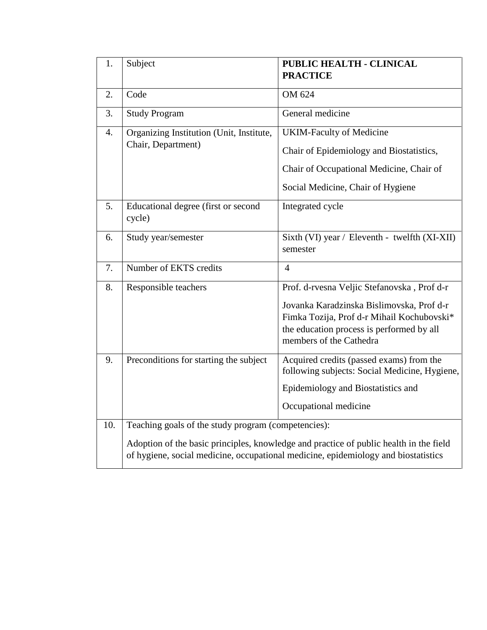| 1.  | Subject                                                                                                                                                                                                                             | PUBLIC HEALTH - CLINICAL<br><b>PRACTICE</b>                                                                                                                                                                    |  |  |  |  |
|-----|-------------------------------------------------------------------------------------------------------------------------------------------------------------------------------------------------------------------------------------|----------------------------------------------------------------------------------------------------------------------------------------------------------------------------------------------------------------|--|--|--|--|
| 2.  | Code                                                                                                                                                                                                                                | OM 624                                                                                                                                                                                                         |  |  |  |  |
| 3.  | <b>Study Program</b>                                                                                                                                                                                                                | General medicine                                                                                                                                                                                               |  |  |  |  |
| 4.  | Organizing Institution (Unit, Institute,<br>Chair, Department)                                                                                                                                                                      | <b>UKIM-Faculty of Medicine</b><br>Chair of Epidemiology and Biostatistics,<br>Chair of Occupational Medicine, Chair of<br>Social Medicine, Chair of Hygiene                                                   |  |  |  |  |
| 5.  | Educational degree (first or second<br>cycle)                                                                                                                                                                                       | Integrated cycle                                                                                                                                                                                               |  |  |  |  |
| 6.  | Study year/semester                                                                                                                                                                                                                 | Sixth (VI) year / Eleventh - twelfth (XI-XII)<br>semester                                                                                                                                                      |  |  |  |  |
| 7.  | Number of EKTS credits                                                                                                                                                                                                              | $\overline{4}$                                                                                                                                                                                                 |  |  |  |  |
| 8.  | Responsible teachers                                                                                                                                                                                                                | Prof. d-rvesna Veljic Stefanovska, Prof d-r<br>Jovanka Karadzinska Bislimovska, Prof d-r<br>Fimka Tozija, Prof d-r Mihail Kochubovski*<br>the education process is performed by all<br>members of the Cathedra |  |  |  |  |
| 9.  | Preconditions for starting the subject                                                                                                                                                                                              | Acquired credits (passed exams) from the<br>following subjects: Social Medicine, Hygiene,<br>Epidemiology and Biostatistics and<br>Occupational medicine                                                       |  |  |  |  |
| 10. | Teaching goals of the study program (competencies):<br>Adoption of the basic principles, knowledge and practice of public health in the field<br>of hygiene, social medicine, occupational medicine, epidemiology and biostatistics |                                                                                                                                                                                                                |  |  |  |  |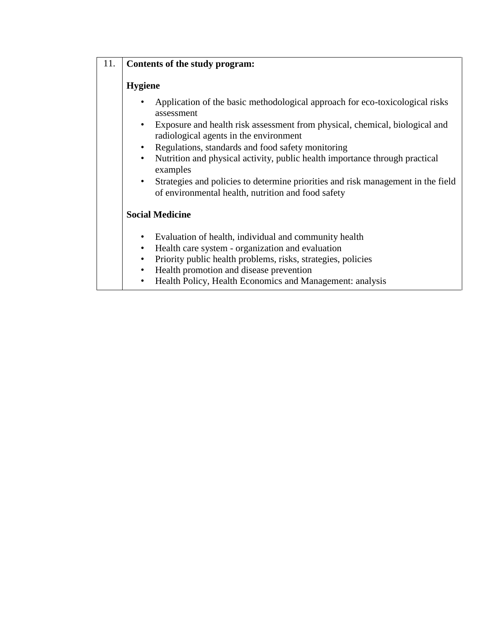# 11. **Contents of the study program:**

### **Hygiene**

- Application of the basic methodological approach for eco-toxicological risks assessment
- Exposure and health risk assessment from physical, chemical, biological and radiological agents in the environment
- Regulations, standards and food safety monitoring
- Nutrition and physical activity, public health importance through practical examples
- Strategies and policies to determine priorities and risk management in the field of environmental health, nutrition and food safety

## **Social Medicine**

- Evaluation of health, individual and community health
- Health care system organization and evaluation
- Priority public health problems, risks, strategies, policies
- Health promotion and disease prevention
- Health Policy, Health Economics and Management: analysis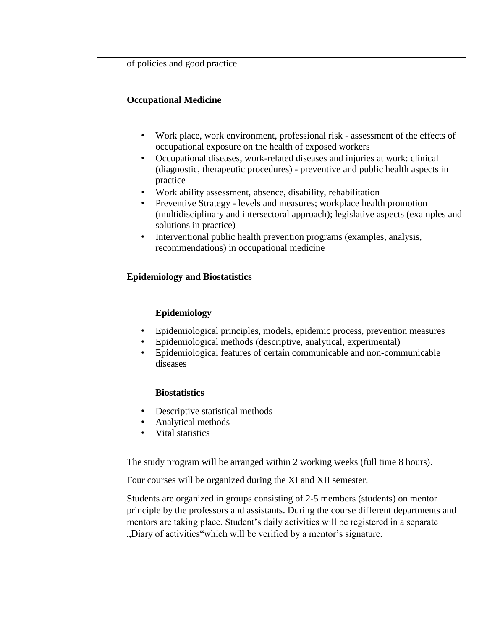of policies and good practice

## **Occupational Medicine**

- Work place, work environment, professional risk assessment of the effects of occupational exposure on the health of exposed workers
- Occupational diseases, work-related diseases and injuries at work: clinical (diagnostic, therapeutic procedures) - preventive and public health aspects in practice
- Work ability assessment, absence, disability, rehabilitation
- Preventive Strategy levels and measures; workplace health promotion (multidisciplinary and intersectoral approach); legislative aspects (examples and solutions in practice)
- Interventional public health prevention programs (examples, analysis, recommendations) in occupational medicine

### **Epidemiology and Biostatistics**

### **Epidemiology**

- Epidemiological principles, models, epidemic process, prevention measures
- Epidemiological methods (descriptive, analytical, experimental)
- Epidemiological features of certain communicable and non-communicable diseases

### **Biostatistics**

- Descriptive statistical methods
- Analytical methods
- Vital statistics

The study program will be arranged within 2 working weeks (full time 8 hours).

Four courses will be organized during the XI and XII semester.

Students are organized in groups consisting of 2-5 members (students) on mentor principle by the professors and assistants. During the course different departments and mentors are taking place. Student's daily activities will be registered in a separate "Diary of activities"which will be verified by a mentor's signature.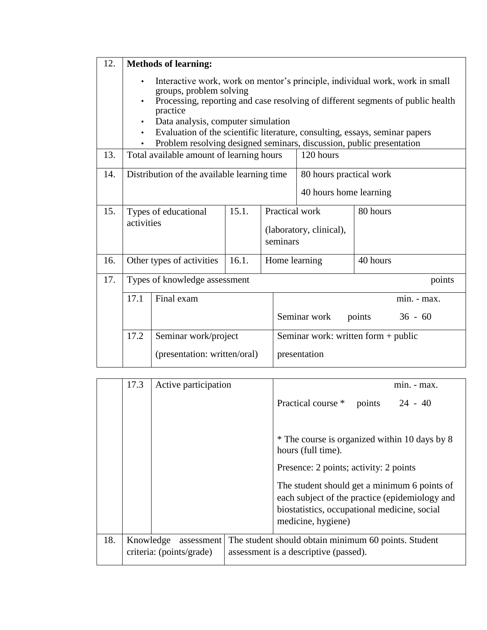| 12. |                                                                                                                                                                                                                                                                                                                                                                                                                                            | <b>Methods of learning:</b>   |       |                            |                                                   |             |        |
|-----|--------------------------------------------------------------------------------------------------------------------------------------------------------------------------------------------------------------------------------------------------------------------------------------------------------------------------------------------------------------------------------------------------------------------------------------------|-------------------------------|-------|----------------------------|---------------------------------------------------|-------------|--------|
|     | Interactive work, work on mentor's principle, individual work, work in small<br>$\bullet$<br>groups, problem solving<br>Processing, reporting and case resolving of different segments of public health<br>practice<br>Data analysis, computer simulation<br>$\bullet$<br>Evaluation of the scientific literature, consulting, essays, seminar papers<br>$\bullet$<br>Problem resolving designed seminars, discussion, public presentation |                               |       |                            |                                                   |             |        |
| 13. | Total available amount of learning hours                                                                                                                                                                                                                                                                                                                                                                                                   |                               |       |                            | 120 hours                                         |             |        |
| 14. | Distribution of the available learning time                                                                                                                                                                                                                                                                                                                                                                                                |                               |       |                            | 80 hours practical work<br>40 hours home learning |             |        |
| 15. | 15.1.<br>Types of educational<br>activities                                                                                                                                                                                                                                                                                                                                                                                                |                               |       | Practical work<br>seminars | (laboratory, clinical),                           | 80 hours    |        |
| 16. |                                                                                                                                                                                                                                                                                                                                                                                                                                            | Other types of activities     | 16.1. | Home learning              |                                                   | 40 hours    |        |
| 17. |                                                                                                                                                                                                                                                                                                                                                                                                                                            | Types of knowledge assessment |       |                            |                                                   |             | points |
|     | 17.1<br>Final exam                                                                                                                                                                                                                                                                                                                                                                                                                         |                               |       |                            |                                                   | min. - max. |        |
|     |                                                                                                                                                                                                                                                                                                                                                                                                                                            |                               |       |                            | Seminar work<br>$36 - 60$<br>points               |             |        |
|     | 17.2<br>Seminar work/project                                                                                                                                                                                                                                                                                                                                                                                                               |                               |       |                            | Seminar work: written form + public               |             |        |
|     |                                                                                                                                                                                                                                                                                                                                                                                                                                            | (presentation: written/oral)  |       |                            | presentation                                      |             |        |

|     | 17.3      | Active participation                   | $min. - max.$                                                                                                                                                        |
|-----|-----------|----------------------------------------|----------------------------------------------------------------------------------------------------------------------------------------------------------------------|
|     |           |                                        | Practical course *<br>$24 - 40$<br>points                                                                                                                            |
|     |           |                                        | * The course is organized within 10 days by 8<br>hours (full time).                                                                                                  |
|     |           |                                        | Presence: 2 points; activity: 2 points                                                                                                                               |
|     |           |                                        | The student should get a minimum 6 points of<br>each subject of the practice (epidemiology and<br>biostatistics, occupational medicine, social<br>medicine, hygiene) |
| 18. | Knowledge | assessment<br>criteria: (points/grade) | The student should obtain minimum 60 points. Student<br>assessment is a descriptive (passed).                                                                        |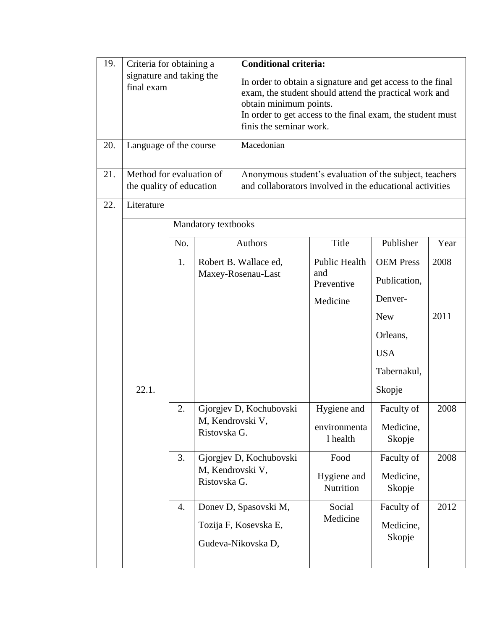| 19. | Criteria for obtaining a                             |     | <b>Conditional criteria:</b>     |                                                                                                                                                                                                                                         |                          |                     |      |  |  |
|-----|------------------------------------------------------|-----|----------------------------------|-----------------------------------------------------------------------------------------------------------------------------------------------------------------------------------------------------------------------------------------|--------------------------|---------------------|------|--|--|
|     | signature and taking the<br>final exam               |     |                                  | In order to obtain a signature and get access to the final<br>exam, the student should attend the practical work and<br>obtain minimum points.<br>In order to get access to the final exam, the student must<br>finis the seminar work. |                          |                     |      |  |  |
| 20. | Language of the course                               |     |                                  | Macedonian                                                                                                                                                                                                                              |                          |                     |      |  |  |
| 21. | Method for evaluation of<br>the quality of education |     |                                  | Anonymous student's evaluation of the subject, teachers<br>and collaborators involved in the educational activities                                                                                                                     |                          |                     |      |  |  |
| 22. | Literature                                           |     |                                  |                                                                                                                                                                                                                                         |                          |                     |      |  |  |
|     |                                                      |     | Mandatory textbooks              |                                                                                                                                                                                                                                         |                          |                     |      |  |  |
|     |                                                      | No. |                                  | Authors                                                                                                                                                                                                                                 | Title                    | Publisher           | Year |  |  |
|     |                                                      | 1.  |                                  | Robert B. Wallace ed,                                                                                                                                                                                                                   | Public Health            | <b>OEM Press</b>    | 2008 |  |  |
|     |                                                      |     |                                  | Maxey-Rosenau-Last                                                                                                                                                                                                                      | and<br>Preventive        | Publication,        |      |  |  |
|     |                                                      |     |                                  |                                                                                                                                                                                                                                         | Medicine                 | Denver-             |      |  |  |
|     |                                                      |     |                                  |                                                                                                                                                                                                                                         |                          | <b>New</b>          | 2011 |  |  |
|     |                                                      |     |                                  |                                                                                                                                                                                                                                         |                          | Orleans,            |      |  |  |
|     |                                                      |     |                                  |                                                                                                                                                                                                                                         |                          | <b>USA</b>          |      |  |  |
|     |                                                      |     |                                  |                                                                                                                                                                                                                                         |                          | Tabernakul,         |      |  |  |
|     | 22.1.                                                |     |                                  |                                                                                                                                                                                                                                         |                          | Skopje              |      |  |  |
|     |                                                      | 2.  |                                  | Gjorgjev D, Kochubovski                                                                                                                                                                                                                 | Hygiene and              | Faculty of          | 2008 |  |  |
|     |                                                      |     | Ristovska G.                     | M, Kendrovski V,                                                                                                                                                                                                                        | environmenta<br>1 health | Medicine,<br>Skopje |      |  |  |
|     |                                                      | 3.  |                                  | Gjorgjev D, Kochubovski                                                                                                                                                                                                                 | Food                     | Faculty of          | 2008 |  |  |
|     |                                                      |     | M, Kendrovski V,<br>Ristovska G. |                                                                                                                                                                                                                                         | Hygiene and              | Medicine,           |      |  |  |
|     |                                                      |     |                                  |                                                                                                                                                                                                                                         | Nutrition                | Skopje              |      |  |  |
|     |                                                      | 4.  |                                  | Donev D, Spasovski M,                                                                                                                                                                                                                   | Social<br>Medicine       | Faculty of          | 2012 |  |  |
|     |                                                      |     |                                  | Tozija F, Kosevska E,                                                                                                                                                                                                                   |                          | Medicine,           |      |  |  |
|     |                                                      |     |                                  | Gudeva-Nikovska D,                                                                                                                                                                                                                      |                          | Skopje              |      |  |  |
|     |                                                      |     |                                  |                                                                                                                                                                                                                                         |                          |                     |      |  |  |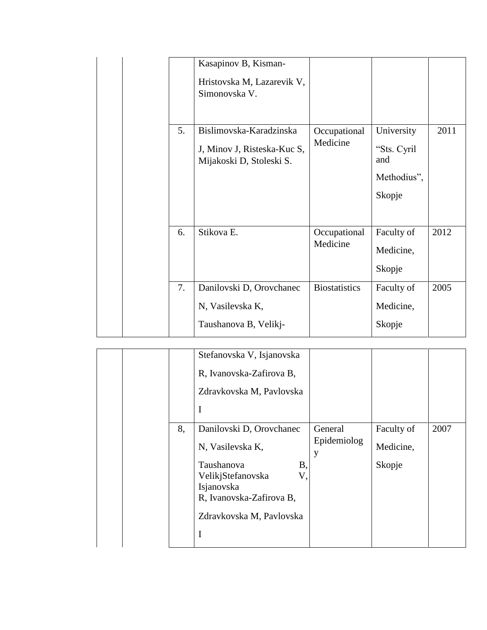|    | Kasapinov B, Kisman-<br>Hristovska M, Lazarevik V,<br>Simonovska V.                |                          |                                                           |      |
|----|------------------------------------------------------------------------------------|--------------------------|-----------------------------------------------------------|------|
| 5. | Bislimovska-Karadzinska<br>J, Minov J, Risteska-Kuc S,<br>Mijakoski D, Stoleski S. | Occupational<br>Medicine | University<br>"Sts. Cyril<br>and<br>Methodius",<br>Skopje | 2011 |
| 6. | Stikova E.                                                                         | Occupational<br>Medicine | Faculty of<br>Medicine,<br>Skopje                         | 2012 |
| 7. | Danilovski D, Orovchanec<br>N, Vasilevska K,<br>Taushanova B, Velikj-              | <b>Biostatistics</b>     | Faculty of<br>Medicine,<br>Skopje                         | 2005 |

|    | Stefanovska V, Isjanovska<br>R, Ivanovska-Zafirova B,<br>Zdravkovska M, Pavlovska<br>I                                                                                         |                             |                                   |      |
|----|--------------------------------------------------------------------------------------------------------------------------------------------------------------------------------|-----------------------------|-----------------------------------|------|
| 8, | Danilovski D, Orovchanec<br>N, Vasilevska K,<br>Taushanova<br><b>B</b> ,<br>V,<br>VelikjStefanovska<br>Isjanovska<br>R, Ivanovska-Zafirova B,<br>Zdravkovska M, Pavlovska<br>I | General<br>Epidemiolog<br>y | Faculty of<br>Medicine,<br>Skopje | 2007 |